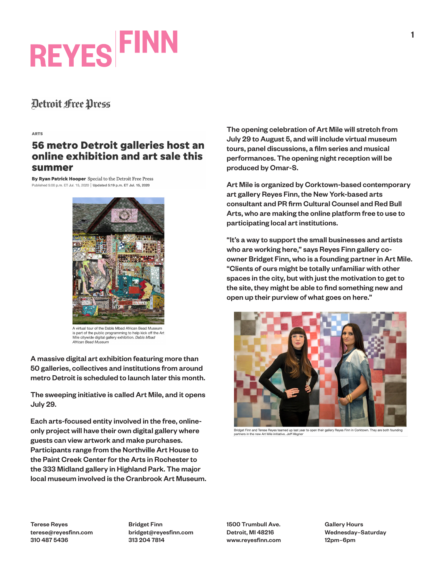# **REYES FINN**

### Detroit Free Press

#### **ARTS**

### 56 metro Detroit galleries host an online exhibition and art sale this summer

By Ryan Patrick Hooper Special to the Detroit Free Press Published 5:00 p.m. ET Jul. 15, 2020 | Updated 5:19 p.m. ET Jul. 15, 2020



A virtual tour of the Dabls Mbad African Bead Museum is part of the public programming to help kick off the Art<br>Mile citywide digital gallery exhibition. Dabls Mbad African Bead Museum

A massive digital art exhibition featuring more than 50 galleries, collectives and institutions from around metro Detroit is scheduled to launch later this month.

The sweeping initiative is called Art Mile, and it opens July 29.

Each arts-focused entity involved in the free, onlineonly project will have their own digital gallery where guests can view artwork and make purchases. Participants range from the Northville Art House to the Paint Creek Center for the Arts in Rochester to the 333 Midland gallery in Highland Park. The major local museum involved is the Cranbrook Art Museum. The opening celebration of Art Mile will stretch from July 29 to August 5, and will include virtual museum tours, panel discussions, a film series and musical performances. The opening night reception will be produced by Omar-S.

Art Mile is organized by Corktown-based contemporary art gallery Reyes Finn, the New York-based arts consultant and PR firm Cultural Counsel and Red Bull Arts, who are making the online platform free to use to participating local art institutions.

"It's a way to support the small businesses and artists who are working here," says Reyes Finn gallery coowner Bridget Finn, who is a founding partner in Art Mile. "Clients of ours might be totally unfamiliar with other spaces in the city, but with just the motivation to get to the site, they might be able to find something new and open up their purview of what goes on here."



Bridget Finn and Terese Reyes teamed up last year to open their gallery Reyes Finn in Corktown. They are both founding<br>partners in the new Art Mile initiative. Jeff Wegner

Terese Reyes terese@reyesfinn.com 310 487 5436

Bridget Finn bridget@reyesfinn.com 313 204 7814

1500 Trumbull Ave. Detroit, MI 48216 www.reyesfinn.com Gallery Hours Wednesday–Saturday 12pm–6pm